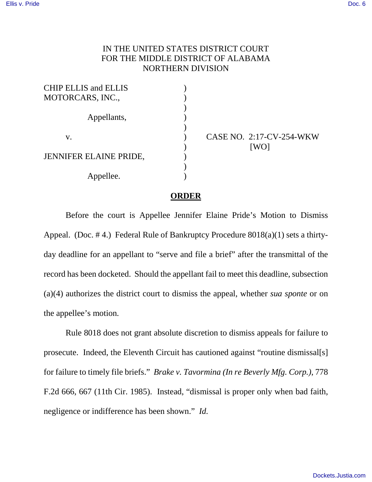## IN THE UNITED STATES DISTRICT COURT FOR THE MIDDLE DISTRICT OF ALABAMA NORTHERN DIVISION

CASE NO. 2:17-CV-254-WKW [WO]

## **ORDER**

Before the court is Appellee Jennifer Elaine Pride's Motion to Dismiss Appeal. (Doc. # 4.) Federal Rule of Bankruptcy Procedure 8018(a)(1) sets a thirtyday deadline for an appellant to "serve and file a brief" after the transmittal of the record has been docketed. Should the appellant fail to meet this deadline, subsection (a)(4) authorizes the district court to dismiss the appeal, whether *sua sponte* or on the appellee's motion.

Rule 8018 does not grant absolute discretion to dismiss appeals for failure to prosecute. Indeed, the Eleventh Circuit has cautioned against "routine dismissal[s] for failure to timely file briefs." *Brake v. Tavormina (In re Beverly Mfg. Corp.)*, 778 F.2d 666, 667 (11th Cir. 1985). Instead, "dismissal is proper only when bad faith, negligence or indifference has been shown." *Id.*